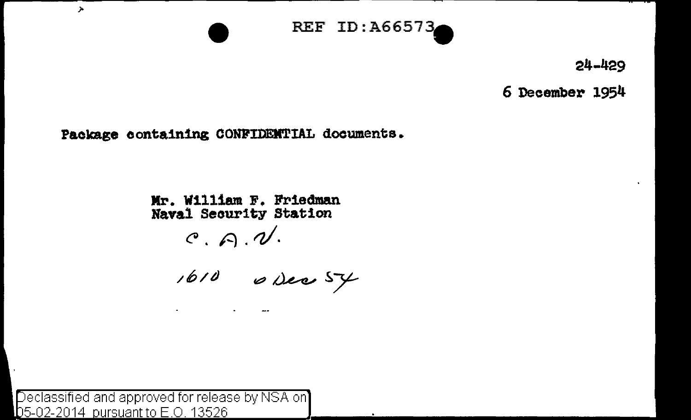

**24-429** 

**6 December 1954** 

Package containing CONFIDENTIAL documents.

**Mr. William F. Friedman Naval Seourity Station** 

~. *A.d.* 

Declassified and approved for release by NSA on  $D$ 5-02-2014 pursuant to E.O. 13526

 $\lambda$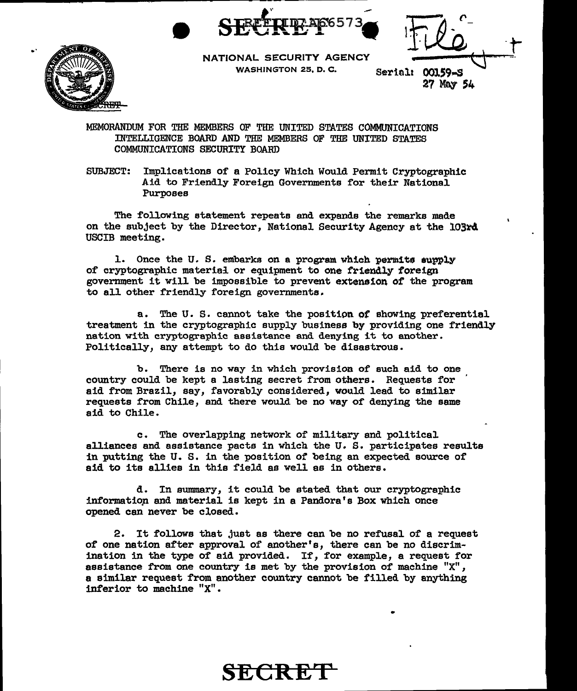



NATIONAL SECURITY AGENCY WASHINGTON 25, D. C.

Serial: 00159-S 27 May 54

MEMORANDUM FOR THE MEMBERS OF THE UNITED STATES COMMUNICATIONS INTELLIGENCE BOARD AND THE MEMBERS OF THE UNITED STATES COMMUNICATIONS SECURITY BOARD

SUBJECT: Implications of a Policy Which Would Permit Cryptographic Aid to Friendly Foreign Governments for their National Purposes

The following statement repeats and expands the remarks made on the subject by the Director, National Security Agency at the 103~4 USCIB meeting.

1. Once the U.S. embarks on a program which permits supply of cryptographic material or equipment to one friendly foreign govermnent it will be impossible to prevent extension of the program to all other friendly foreign governments.

a. The u. s. cannot take the positipn *ot* showing preferential treatment in the cryptographic supply business by providing one friendly nation with cryptographic assistance and denying it to another. Politically, any attempt to do this would be disastrous.

b. There is no way in which provision of such aid to one country could be kept a lasting secret from others. Requests for aid from Brazil, say, favorably considered, would lead to similar requests from Chile, and there would be no way of denying the same aid to Chile.

c. The overlapping network of military and political alliances and assistance pacts in which the U.S. participates results in putting the U. s. in the position of being an expected source of aid to its allies in this field as well as in others.

d. In swmnary, it could be stated that our cryptographic information and material is kept in a Pandora's Box which once opened can never be closed.

2. It follows that just as there can be no refusal of a request of one nation after approval of another's, there can be no discrimination in the type of aid provided. If, for example, a request for assistance from one country is met by the provision of machine "X", a similar request from another country cannot be filled by anything inferior to machine "X".

**SECRE**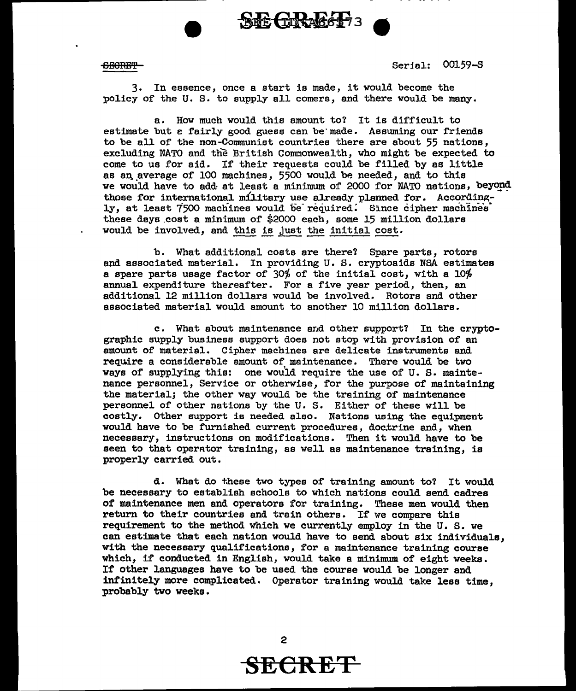

6:88HEl'i' Serfal: 00159-S

3. In essence, once a start is made, it would become the policy of the U. S. to supply all comers, and there would be many.

a. How much would this amount to? It is difficult to estimate but e fairly good guess can be' made. Assuming our friends to be all of the non-Communist countries there are about 55 nations, excluding NATO and the British Commonwealth, who might be expected to come to us for aid. If their requests could be filled by as little as an average of 100 machines, 5500 would be needed, and to this we would have to add at least a minimum of 2000 for NATO nations, beyond those for international military use already planned for. Accordingly, at least 7500 machines would be required. Since cipher machines these days \_cost a minimum of \$2000 each, some 15 million dollars would be involved, and this is just the initial cost.

b. What additional costs are there? Spare parts, rotors and associated material. In providing U.S. cryptoaids NSA estimates a spare parts usage factor of 30% of the initial cost, with a 10% annual expenditure thereafter. For a five year period, then, an additional 12 million dollars would be involved. Rotors and other associated material would amount to another 10 million dollars.

c. What about maintenance and other support? In the cryptographic supply business support does not stop with provision of an amount of material. Cipher machines are delicate instruments and require a considerable amount of maintenance. There would be two ways of supplying this: one would require the use of U.S. maintenance personnel, Service or otherwise, for the purpose of maintaining the material; the other way would be the training of maintenance personnel of other nations by the U. s. Either of these will be costly. Other support is needed also. Nations using the equipment would have to be furnished current procedures, doctrine and, when necessary, instructions on modifications. Then it would have to be seen to that operator training, as well as maintenance training, is properly carried out.

d. What do these two types of training amount to'l It would be necessary to establish schools to which nations could send cadres of maintenance men and operators for training. These men would then return to their countries and train others. If we compare this requirement to the method which we currently employ in the U. s. we can estimate that each nation would have to send about six individuals, with the necessary qualifications, for a maintenance training course which, if conducted in English, would take a minimum of eight weeks. If other languages have to be used the course would be longer and infinitely more complicated. Operator training would take less time, probably two weeks.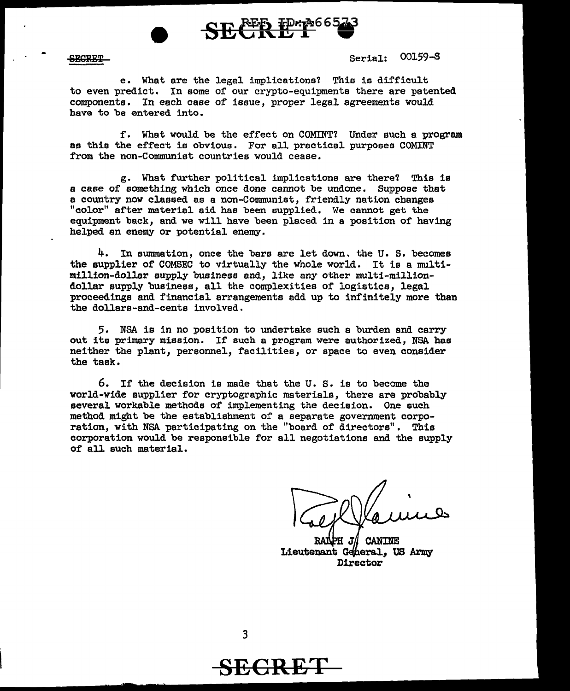



<u> 2020 Min</u>

Serial: 00159-S

e. What are the legal implications? This is difficult to even predict. In some of our crypto-equipments there are patented components. In each case of issue, proper legal agreements would have to be entered into.

f. What would be the effect on COMINT? Under such a program as this the effect is obvious. For all practical purposes COMINT from the non-Communist countries would cease.

g. What further political implications are there? This is a case of something which once done cannot be undone. Suppose that a country now classed as a non-Communist, friendly nation changes "color" after material aid has been supplied. We cannot get the equipment back, and we will have been placed in a position of having helped an enemy or potential enemy.

 $4.$  In summation, once the bars are let down, the U.S. becomes the supplier of COMSEC to virtually the whole world. It is a multimillion-dollar supply business end, like any other multi-milliondollar supply business, all the complexities of logistics, legal proceedings end financial arrangements add up to infinitely more than the dollars-and-cents involved.

5. NSA is in no position to undertake such a burden and carry out its primary mission. If such a program were authorized, NSA has neither the plant, personnel, facilities, or space to even consider the task.

6. If the decision is made that the U. s. is to become the world-wide supplier for cryptographic materials, there are probably several workable methods of implementing the decision. One such method might be the establishment of a separate government corporation, with NSA participating on the "board of directors". This corporation would be responsible for all negotiations and the supply of all such material.

**CANINE** Lieutenant General, US Army Director